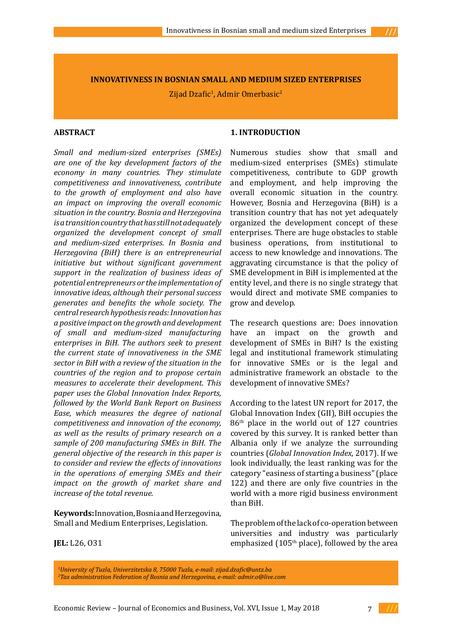**INNOVATIVNESS IN BOSNIAN SMALL AND MEDIUM SIZED ENTERPRISES**

Zijad Dzafic<sup>1</sup>, Admir Omerbasic<sup>2</sup>

## **ABSTRACT**

*Small and medium-sized enterprises (SMEs) are one of the key development factors of the economy in many countries. They stimulate competitiveness and innovativeness, contribute to the growth of employment and also have an impact on improving the overall economic situation in the country. Bosnia and Herzegovina is a transition country that has still not adequately organized the development concept of small and medium-sized enterprises. In Bosnia and Herzegovina (BiH) there is an entrepreneurial initiative but without significant government support in the realization of business ideas of potential entrepreneurs or the implementation of innovative ideas, although their personal success generates and benefits the whole society. The central research hypothesis reads: Innovation has a positive impact on the growth and development of small and medium-sized manufacturing enterprises in BiH. The authors seek to present the current state of innovativeness in the SME sector in BiH with a review of the situation in the countries of the region and to propose certain measures to accelerate their development. This paper uses the Global Innovation Index Reports, followed by the World Bank Report on Business Ease, which measures the degree of national competitiveness and innovation of the economy, as well as the results of primary research on a sample of 200 manufacturing SMEs in BiH. The general objective of the research in this paper is to consider and review the effects of innovations in the operations of emerging SMEs and their impact on the growth of market share and increase of the total revenue.*

**Keywords:** Innovation, Bosnia and Herzegovina, Small and Medium Enterprises, Legislation.

## **1. INTRODUCTION**

Numerous studies show that small and medium-sized enterprises (SMEs) stimulate competitiveness, contribute to GDP growth and employment, and help improving the overall economic situation in the country. However, Bosnia and Herzegovina (BiH) is a transition country that has not yet adequately organized the development concept of these enterprises. There are huge obstacles to stable business operations, from institutional to access to new knowledge and innovations. The aggravating circumstance is that the policy of SME development in BiH is implemented at the entity level, and there is no single strategy that would direct and motivate SME companies to grow and develop.

The research questions are: Does innovation have an impact on the growth and development of SMEs in BiH? Is the existing legal and institutional framework stimulating for innovative SMEs or is the legal and administrative framework an obstacle to the development of innovative SMEs?

According to the latest UN report for 2017, the Global Innovation Index (GII), BiH occupies the 86th place in the world out of 127 countries covered by this survey. It is ranked better than Albania only if we analyze the surrounding countries (*Global Innovation Index*, 2017). If we look individually, the least ranking was for the category "easiness of starting a business" (place 122) and there are only five countries in the world with a more rigid business environment than BiH.

The problem of the lack of co-operation between universities and industry was particularly emphasized ( $105<sup>th</sup>$  place), followed by the area

**JEL:** L26, O31

*1 University of Tuzla, Univerzitetska 8, 75000 Tuzla, e-mail: zijad.dzafic@untz.ba 2 Tax administration Federation of Bosnia and Herzegovina, e-mail: admir.o@live.com*

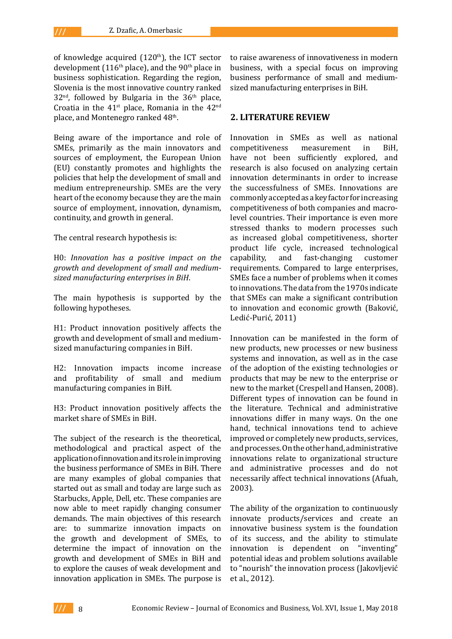of knowledge acquired  $(120<sup>th</sup>)$ , the ICT sector development (116<sup>th</sup> place), and the 90<sup>th</sup> place in business sophistication. Regarding the region, Slovenia is the most innovative country ranked  $32<sup>nd</sup>$ , followed by Bulgaria in the  $36<sup>th</sup>$  place, Croatia in the  $41<sup>st</sup>$  place, Romania in the  $42<sup>nd</sup>$ place, and Montenegro ranked 48<sup>th</sup>.

Being aware of the importance and role of SMEs, primarily as the main innovators and sources of employment, the European Union (EU) constantly promotes and highlights the policies that help the development of small and medium entrepreneurship. SMEs are the very heart of the economy because they are the main source of employment, innovation, dynamism, continuity, and growth in general.

The central research hypothesis is:

H0: *Innovation has a positive impact on the growth and development of small and mediumsized manufacturing enterprises in BiH*.

The main hypothesis is supported by the following hypotheses.

H1: Product innovation positively affects the growth and development of small and mediumsized manufacturing companies in BiH.

H2: Innovation impacts income increase and profitability of small and medium manufacturing companies in BiH.

H3: Product innovation positively affects the market share of SMEs in BiH.

The subject of the research is the theoretical, methodological and practical aspect of the application of innovation and its role in improving the business performance of SMEs in BiH. There are many examples of global companies that started out as small and today are large such as Starbucks, Apple, Dell, etc. These companies are now able to meet rapidly changing consumer demands. The main objectives of this research are: to summarize innovation impacts on the growth and development of SMEs, to determine the impact of innovation on the growth and development of SMEs in BiH and to explore the causes of weak development and innovation application in SMEs. The purpose is to raise awareness of innovativeness in modern business, with a special focus on improving business performance of small and mediumsized manufacturing enterprises in BiH.

# **2. LITERATURE REVIEW**

Innovation in SMEs as well as national<br>competitiveness measurement in BiH, competitiveness have not been sufficiently explored, and research is also focused on analyzing certain innovation determinants in order to increase the successfulness of SMEs. Innovations are commonly accepted as a key factor for increasing competitiveness of both companies and macrolevel countries. Their importance is even more stressed thanks to modern processes such as increased global competitiveness, shorter product life cycle, increased technological<br>capability, and fast-changing customer fast-changing requirements. Compared to large enterprises, SMEs face a number of problems when it comes to innovations. The data from the 1970s indicate that SMEs can make a significant contribution to innovation and economic growth (Baković, Ledić-Purić, 2011)

Innovation can be manifested in the form of new products, new processes or new business systems and innovation, as well as in the case of the adoption of the existing technologies or products that may be new to the enterprise or new to the market (Crespell and Hansen, 2008). Different types of innovation can be found in the literature. Technical and administrative innovations differ in many ways. On the one hand, technical innovations tend to achieve improved or completely new products, services, and processes. On the other hand, administrative innovations relate to organizational structure and administrative processes and do not necessarily affect technical innovations (Afuah, 2003).

The ability of the organization to continuously innovate products/services and create an innovative business system is the foundation of its success, and the ability to stimulate innovation is dependent on "inventing" potential ideas and problem solutions available to "nourish" the innovation process (Jakovljević et al., 2012).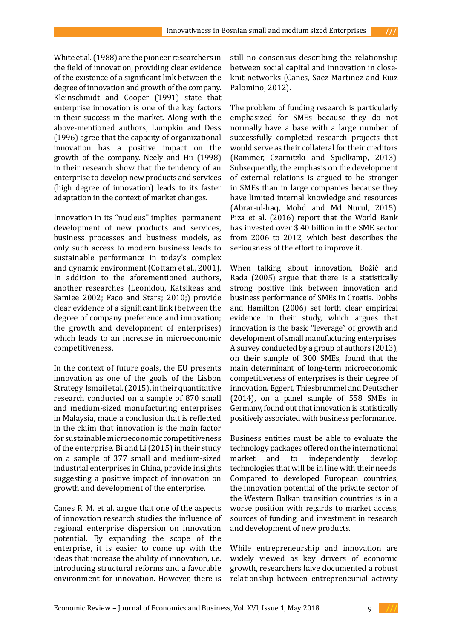White et al. (1988) are the pioneer researchers in the field of innovation, providing clear evidence of the existence of a significant link between the degree of innovation and growth of the company. Kleinschmidt and Cooper (1991) state that enterprise innovation is one of the key factors in their success in the market. Along with the above-mentioned authors, Lumpkin and Dess (1996) agree that the capacity of organizational innovation has a positive impact on the growth of the company. Neely and Hii (1998) in their research show that the tendency of an enterprise to develop new products and services (high degree of innovation) leads to its faster adaptation in the context of market changes.

Innovation in its "nucleus" implies permanent development of new products and services, business processes and business models, as only such access to modern business leads to sustainable performance in today's complex and dynamic environment (Cottam et al., 2001). In addition to the aforementioned authors, another researches (Leonidou, Katsikeas and Samiee 2002; Faco and Stars; 2010;) provide clear evidence of a significant link (between the degree of company preference and innovation; the growth and development of enterprises) which leads to an increase in microeconomic competitiveness.

In the context of future goals, the EU presents innovation as one of the goals of the Lisbon Strategy. Ismail et al. (2015), in their quantitative research conducted on a sample of 870 small and medium-sized manufacturing enterprises in Malaysia, made a conclusion that is reflected in the claim that innovation is the main factor for sustainable microeconomic competitiveness of the enterprise. Bi and Li (2015) in their study on a sample of 377 small and medium-sized industrial enterprises in China, provide insights suggesting a positive impact of innovation on growth and development of the enterprise.

Canes R. M. et al. argue that one of the aspects of innovation research studies the influence of regional enterprise dispersion on innovation potential. By expanding the scope of the enterprise, it is easier to come up with the ideas that increase the ability of innovation, i.e. introducing structural reforms and a favorable environment for innovation. However, there is

still no consensus describing the relationship between social capital and innovation in closeknit networks (Canes, Saez-Martinez and Ruiz Palomino, 2012).

The problem of funding research is particularly emphasized for SMEs because they do not normally have a base with a large number of successfully completed research projects that would serve as their collateral for their creditors (Rammer, Czarnitzki and Spielkamp, 2013). Subsequently, the emphasis on the development of external relations is argued to be stronger in SMEs than in large companies because they have limited internal knowledge and resources (Abrar-ul-haq, Mohd and Md Nurul, 2015). Piza et al. (2016) report that the World Bank has invested over \$ 40 billion in the SME sector from 2006 to 2012, which best describes the seriousness of the effort to improve it.

When talking about innovation, Božić and Rada (2005) argue that there is a statistically strong positive link between innovation and business performance of SMEs in Croatia. Dobbs and Hamilton (2006) set forth clear empirical evidence in their study, which argues that innovation is the basic "leverage" of growth and development of small manufacturing enterprises. A survey conducted by a group of authors (2013), on their sample of 300 SMEs, found that the main determinant of long-term microeconomic competitiveness of enterprises is their degree of innovation. Eggert, Thiesbrummel and Deutscher (2014), on a panel sample of 558 SMEs in Germany, found out that innovation is statistically positively associated with business performance.

Business entities must be able to evaluate the technology packages offered on the international<br>market and to independently develop market and to technologies that will be in line with their needs. Compared to developed European countries, the innovation potential of the private sector of the Western Balkan transition countries is in a worse position with regards to market access, sources of funding, and investment in research and development of new products.

While entrepreneurship and innovation are widely viewed as key drivers of economic growth, researchers have documented a robust relationship between entrepreneurial activity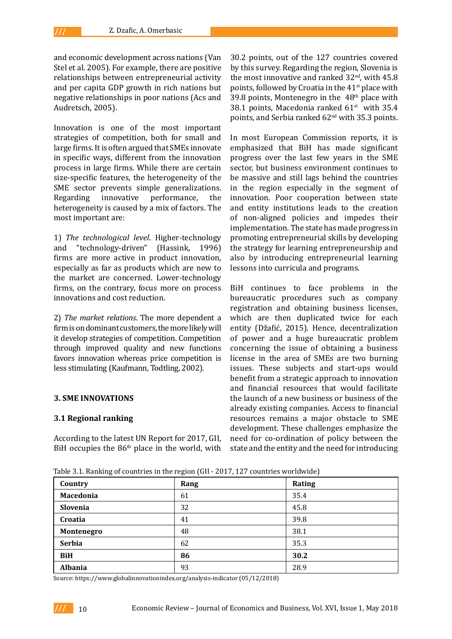and economic development across nations (Van Stel et al. 2005). For example, there are positive relationships between entrepreneurial activity and per capita GDP growth in rich nations but negative relationships in poor nations (Acs and Audretsch, 2005).

Innovation is one of the most important strategies of competition, both for small and large firms. It is often argued that SMEs innovate in specific ways, different from the innovation process in large firms. While there are certain size-specific features, the heterogeneity of the SME sector prevents simple generalizations.<br>Regarding innovative performance, the performance, heterogeneity is caused by a mix of factors. The most important are:

1) *The technological level*. Higher-technology and "technology-driven" (Hassink, 1996) firms are more active in product innovation, especially as far as products which are new to the market are concerned. Lower-technology firms, on the contrary, focus more on process innovations and cost reduction.

2) *The market relations*. The more dependent a firm is on dominant customers, the more likely will it develop strategies of competition. Competition through improved quality and new functions favors innovation whereas price competition is less stimulating (Kaufmann, Todtling, 2002).

#### **3. SME INNOVATIONS**

## **3.1 Regional ranking**

According to the latest UN Report for 2017, GII, BiH occupies the  $86<sup>th</sup>$  place in the world, with 30.2 points, out of the 127 countries covered by this survey. Regarding the region, Slovenia is the most innovative and ranked  $32<sup>nd</sup>$ , with  $45.8$ points, followed by Croatia in the 41<sup>st</sup> place with 39.8 points, Montenegro in the  $48<sup>th</sup>$  place with 38.1 points, Macedonia ranked  $61<sup>st</sup>$  with 35.4 points, and Serbia ranked 62nd with 35.3 points.

In most European Commission reports, it is emphasized that BiH has made significant progress over the last few years in the SME sector, but business environment continues to be massive and still lags behind the countries in the region especially in the segment of innovation. Poor cooperation between state and entity institutions leads to the creation of non-aligned policies and impedes their implementation. The state has made progress in promoting entrepreneurial skills by developing the strategy for learning entrepreneurship and also by introducing entrepreneurial learning lessons into curricula and programs.

BiH continues to face problems in the bureaucratic procedures such as company registration and obtaining business licenses, which are then duplicated twice for each entity (Džafić, 2015). Hence, decentralization of power and a huge bureaucratic problem concerning the issue of obtaining a business license in the area of SMEs are two burning issues. These subjects and start-ups would benefit from a strategic approach to innovation and financial resources that would facilitate the launch of a new business or business of the already existing companies. Access to financial resources remains a major obstacle to SME development. These challenges emphasize the need for co-ordination of policy between the state and the entity and the need for introducing

Table 3.1. Ranking of countries in the region (GII - 2017, 127 countries worldwide)

| Country        | Rang | Rating |
|----------------|------|--------|
| Macedonia      | 61   | 35.4   |
| Slovenia       | 32   | 45.8   |
| Croatia        | 41   | 39.8   |
| Montenegro     | 48   | 38.1   |
| <b>Serbia</b>  | 62   | 35.3   |
| <b>BiH</b>     | 86   | 30.2   |
| <b>Albania</b> | 93   | 28.9   |

Source:<https://www.globalinnovationindex.org/analysis-indicator> (05/12/2018)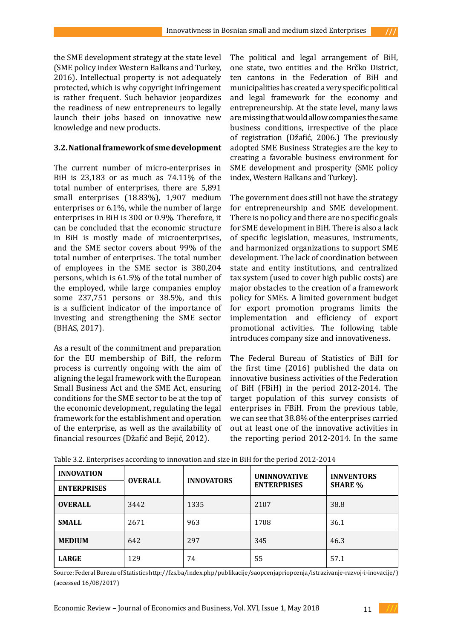the SME development strategy at the state level (SME policy index Western Balkans and Turkey, 2016). Intellectual property is not adequately protected, which is why copyright infringement is rather frequent. Such behavior jeopardizes the readiness of new entrepreneurs to legally launch their jobs based on innovative new knowledge and new products.

## **3.2. National framework of sme development**

The current number of micro-enterprises in BiH is 23,183 or as much as 74.11% of the total number of enterprises, there are 5,891 small enterprises (18.83%), 1,907 medium enterprises or 6.1%, while the number of large enterprises in BiH is 300 or 0.9%. Therefore, it can be concluded that the economic structure in BiH is mostly made of microenterprises, and the SME sector covers about 99% of the total number of enterprises. The total number of employees in the SME sector is 380,204 persons, which is 61.5% of the total number of the employed, while large companies employ some 237,751 persons or 38.5%, and this is a sufficient indicator of the importance of investing and strengthening the SME sector (BHAS, 2017).

As a result of the commitment and preparation for the EU membership of BiH, the reform process is currently ongoing with the aim of aligning the legal framework with the European Small Business Act and the SME Act, ensuring conditions for the SME sector to be at the top of the economic development, regulating the legal framework for the establishment and operation of the enterprise, as well as the availability of financial resources (Džafić and Bejić, 2012).

The political and legal arrangement of BiH, one state, two entities and the Brčko District, ten cantons in the Federation of BiH and municipalities has created a very specific political and legal framework for the economy and entrepreneurship. At the state level, many laws are missing that would allow companies the same business conditions, irrespective of the place of registration (Džafić, 2006.) The previously adopted SME Business Strategies are the key to creating a favorable business environment for SME development and prosperity (SME policy index, Western Balkans and Turkey).

The government does still not have the strategy for entrepreneurship and SME development. There is no policy and there are no specific goals for SME development in BiH. There is also a lack of specific legislation, measures, instruments, and harmonized organizations to support SME development. The lack of coordination between state and entity institutions, and centralized tax system (used to cover high public costs) are major obstacles to the creation of a framework policy for SMEs. A limited government budget for export promotion programs limits the implementation and efficiency of export promotional activities. The following table introduces company size and innovativeness.

The Federal Bureau of Statistics of BiH for the first time (2016) published the data on innovative business activities of the Federation of BiH (FBiH) in the period 2012-2014. The target population of this survey consists of enterprises in FBiH. From the previous table, we can see that 38.8% of the enterprises carried out at least one of the innovative activities in the reporting period 2012-2014. In the same

| <b>INNOVATION</b>  | <b>OVERALL</b> | <b>INNOVATORS</b> | <b>UNINNOVATIVE</b> | <b>INNVENTORS</b><br><b>SHARE %</b> |  |
|--------------------|----------------|-------------------|---------------------|-------------------------------------|--|
| <b>ENTERPRISES</b> |                |                   | <b>ENTERPRISES</b>  |                                     |  |
| <b>OVERALL</b>     | 3442           | 1335              | 2107                | 38.8                                |  |
| <b>SMALL</b>       | 2671           |                   | 1708                | 36.1                                |  |
| <b>MEDIUM</b>      | 642            | 297               | 345                 | 46.3                                |  |
| <b>LARGE</b>       | 129            | 74                | 55                  | 57.1                                |  |

Table 3.2. Enterprises according to innovation and size in BiH for the period 2012-2014

Source: Federal Bureau of Statistics<http://fzs.ba/index.php/publikacije/saopcenjapriopcenja/istrazivanje-razvoj-i-inovacije/>) (accessed 16/08/2017)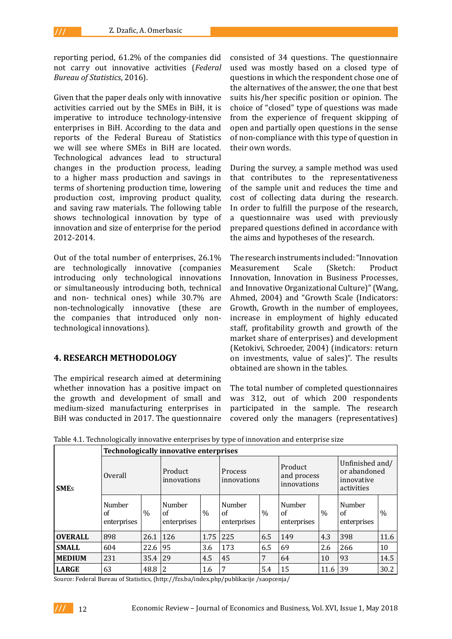reporting period, 61.2% of the companies did not carry out innovative activities (*Federal Bureau of Statistics*, 2016).

Given that the paper deals only with innovative activities carried out by the SMEs in BiH, it is imperative to introduce technology-intensive enterprises in BiH. According to the data and reports of the Federal Bureau of Statistics we will see where SMEs in BiH are located. Technological advances lead to structural changes in the production process, leading to a higher mass production and savings in terms of shortening production time, lowering production cost, improving product quality, and saving raw materials. The following table shows technological innovation by type of innovation and size of enterprise for the period 2012-2014.

Out of the total number of enterprises, 26.1% are technologically innovative (companies introducing only technological innovations or simultaneously introducing both, technical and non- technical ones) while 30.7% are non-technologically innovative (these are the companies that introduced only nontechnological innovations).

## **4. RESEARCH METHODOLOGY**

The empirical research aimed at determining whether innovation has a positive impact on the growth and development of small and medium-sized manufacturing enterprises in BiH was conducted in 2017. The questionnaire consisted of 34 questions. The questionnaire used was mostly based on a closed type of questions in which the respondent chose one of the alternatives of the answer, the one that best suits his/her specific position or opinion. The choice of "closed" type of questions was made from the experience of frequent skipping of open and partially open questions in the sense of non-compliance with this type of question in their own words.

During the survey, a sample method was used that contributes to the representativeness of the sample unit and reduces the time and cost of collecting data during the research. In order to fulfill the purpose of the research, a questionnaire was used with previously prepared questions defined in accordance with the aims and hypotheses of the research.

The research instruments included: "Innovation Measurement Scale (Sketch: Product Innovation, Innovation in Business Processes, and Innovative Organizational Culture)" (Wang, Ahmed, 2004) and "Growth Scale (Indicators: Growth, Growth in the number of employees, increase in employment of highly educated staff, profitability growth and growth of the market share of enterprises) and development (Ketokivi, Schroeder, 2004) (indicators: return on investments, value of sales)". The results obtained are shown in the tables.

The total number of completed questionnaires was 312, out of which 200 respondents participated in the sample. The research covered only the managers (representatives)

|                         | <b>Technologically innovative enterprises</b> |      |                             |      |                             |      |                                       |      |                                                             |      |
|-------------------------|-----------------------------------------------|------|-----------------------------|------|-----------------------------|------|---------------------------------------|------|-------------------------------------------------------------|------|
| <b>SME</b> <sub>s</sub> | Overall                                       |      | Product<br>innovations      |      | Process<br>innovations      |      | Product<br>and process<br>innovations |      | Unfinished and/<br>or abandoned<br>innovative<br>activities |      |
|                         | Number<br>of<br>enterprises                   | $\%$ | Number<br>of<br>enterprises | $\%$ | Number<br>of<br>enterprises | $\%$ | Number<br>of<br>enterprises           | $\%$ | Number<br>of<br>enterprises                                 | $\%$ |
| <b>OVERALL</b>          | 898                                           | 26.1 | 126                         | 1.75 | 225                         | 6.5  | 149                                   | 4.3  | 398                                                         | 11.6 |
| <b>SMALL</b>            | 604                                           | 22.6 | 95                          | 3.6  | 173                         | 6.5  | 69                                    | 2.6  | 266                                                         | 10   |
| <b>MEDIUM</b>           | 231                                           | 35.4 | 29                          | 4.5  | 45                          | 7    | 64                                    | 10   | 93                                                          | 14.5 |
| LARGE                   | 63                                            | 48.8 | 2                           | 1.6  | 7                           | 5.4  | 15                                    | 11.6 | 39                                                          | 30.2 |

Table 4.1. Technologically innovative enterprises by type of innovation and enterprise size

Source: Federal Bureau of Statistics, [\(http://fzs.ba/index.php/publikacije /saopcenja/](http://fzs.ba/index.php/publikacije /saopcenja/)

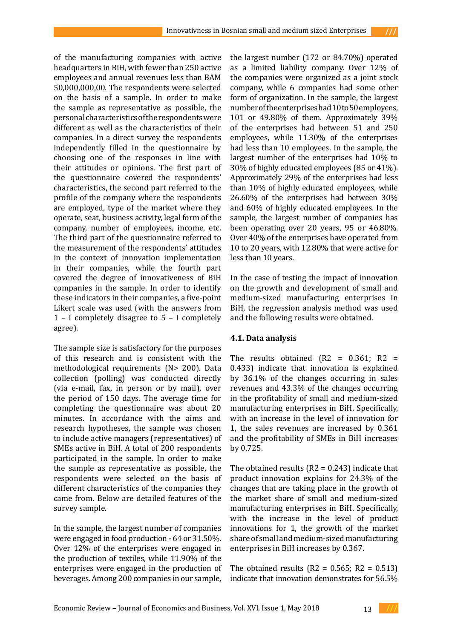of the manufacturing companies with active headquarters in BiH, with fewer than 250 active employees and annual revenues less than BAM 50,000,000,00. The respondents were selected on the basis of a sample. In order to make the sample as representative as possible, the personal characteristics of the respondents were different as well as the characteristics of their companies. In a direct survey the respondents independently filled in the questionnaire by choosing one of the responses in line with their attitudes or opinions. The first part of the questionnaire covered the respondents' characteristics, the second part referred to the profile of the company where the respondents are employed, type of the market where they operate, seat, business activity, legal form of the company, number of employees, income, etc. The third part of the questionnaire referred to the measurement of the respondents' attitudes in the context of innovation implementation in their companies, while the fourth part covered the degree of innovativeness of BiH companies in the sample. In order to identify these indicators in their companies, a five-point Likert scale was used (with the answers from 1 – I completely disagree to 5 – I completely agree).

The sample size is satisfactory for the purposes of this research and is consistent with the methodological requirements (N> 200). Data collection (polling) was conducted directly (via e-mail, fax, in person or by mail), over the period of 150 days. The average time for completing the questionnaire was about 20 minutes. In accordance with the aims and research hypotheses, the sample was chosen to include active managers (representatives) of SMEs active in BiH. A total of 200 respondents participated in the sample. In order to make the sample as representative as possible, the respondents were selected on the basis of different characteristics of the companies they came from. Below are detailed features of the survey sample.

In the sample, the largest number of companies were engaged in food production - 64 or 31.50%. Over 12% of the enterprises were engaged in the production of textiles, while 11.90% of the enterprises were engaged in the production of beverages. Among 200 companies in our sample,

the largest number (172 or 84.70%) operated as a limited liability company. Over 12% of the companies were organized as a joint stock company, while 6 companies had some other form of organization. In the sample, the largest number of the enterprises had 10 to 50 employees, 101 or 49.80% of them. Approximately 39% of the enterprises had between 51 and 250 employees, while 11.30% of the enterprises had less than 10 employees. In the sample, the largest number of the enterprises had 10% to 30% of highly educated employees (85 or 41%). Approximately 29% of the enterprises had less than 10% of highly educated employees, while 26.60% of the enterprises had between 30% and 60% of highly educated employees. In the sample, the largest number of companies has been operating over 20 years, 95 or 46.80%. Over 40% of the enterprises have operated from 10 to 20 years, with 12.80% that were active for less than 10 years.

In the case of testing the impact of innovation on the growth and development of small and medium-sized manufacturing enterprises in BiH, the regression analysis method was used and the following results were obtained.

## **4.1. Data analysis**

The results obtained  $(R2 = 0.361; R2 =$ 0.433) indicate that innovation is explained by 36.1% of the changes occurring in sales revenues and 43.3% of the changes occurring in the profitability of small and medium-sized manufacturing enterprises in BiH. Specifically, with an increase in the level of innovation for 1, the sales revenues are increased by 0.361 and the profitability of SMEs in BiH increases by 0.725.

The obtained results  $(R2 = 0.243)$  indicate that product innovation explains for 24.3% of the changes that are taking place in the growth of the market share of small and medium-sized manufacturing enterprises in BiH. Specifically, with the increase in the level of product innovations for 1, the growth of the market share of small and medium-sized manufacturing enterprises in BiH increases by 0.367.

The obtained results ( $R2 = 0.565$ ;  $R2 = 0.513$ ) indicate that innovation demonstrates for 56.5%

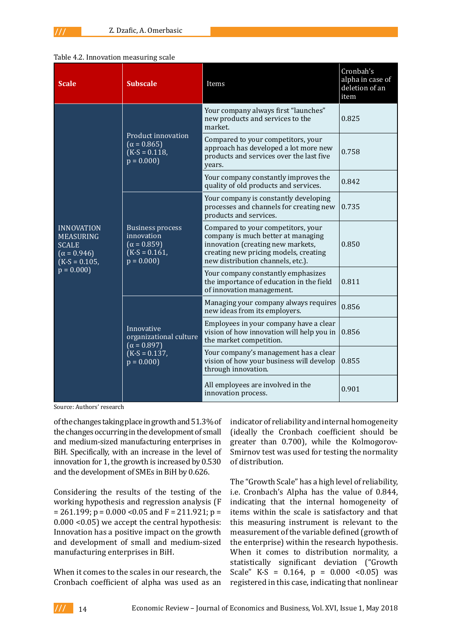#### Table 4.2. Innovation measuring scale

| <b>Scale</b>                                                                                                  | <b>Subscale</b>                                                                               | Items                                                                                                                                                                                       | Cronbah's<br>alpha in case of<br>deletion of an<br>item |
|---------------------------------------------------------------------------------------------------------------|-----------------------------------------------------------------------------------------------|---------------------------------------------------------------------------------------------------------------------------------------------------------------------------------------------|---------------------------------------------------------|
| <b>INNOVATION</b><br><b>MEASURING</b><br><b>SCALE</b><br>$(\alpha = 0.946)$<br>$(K-S = 0.105,$<br>$p = 0.000$ |                                                                                               | Your company always first "launches"<br>new products and services to the<br>market.                                                                                                         | 0.825                                                   |
|                                                                                                               | Product innovation<br>$(\alpha = 0.865)$<br>$(K-S = 0.118,$<br>$p = 0.000$                    | Compared to your competitors, your<br>approach has developed a lot more new<br>products and services over the last five<br>years.                                                           | 0.758                                                   |
|                                                                                                               |                                                                                               | Your company constantly improves the<br>quality of old products and services.                                                                                                               | 0.842                                                   |
|                                                                                                               |                                                                                               | Your company is constantly developing<br>processes and channels for creating new<br>products and services.                                                                                  | 0.735                                                   |
|                                                                                                               | <b>Business process</b><br>innovation<br>$(\alpha = 0.859)$<br>$(K-S = 0.161)$<br>$p = 0.000$ | Compared to your competitors, your<br>company is much better at managing<br>innovation (creating new markets,<br>creating new pricing models, creating<br>new distribution channels, etc.). | 0.850                                                   |
|                                                                                                               |                                                                                               | Your company constantly emphasizes<br>the importance of education in the field<br>of innovation management.                                                                                 | 0.811                                                   |
|                                                                                                               |                                                                                               | Managing your company always requires<br>new ideas from its employers.                                                                                                                      | 0.856                                                   |
|                                                                                                               | Innovative<br>organizational culture<br>$(\alpha = 0.897)$<br>$(K-S = 0.137,$<br>$p = 0.000$  | Employees in your company have a clear<br>vision of how innovation will help you in<br>the market competition.                                                                              | 0.856                                                   |
|                                                                                                               |                                                                                               | Your company's management has a clear<br>vision of how your business will develop<br>through innovation.                                                                                    | 0.855                                                   |
|                                                                                                               |                                                                                               | All employees are involved in the<br>innovation process.                                                                                                                                    | 0.901                                                   |

Source: Authors' research

of the changes taking place in growth and 51.3% of the changes occurring in the development of small and medium-sized manufacturing enterprises in BiH. Specifically, with an increase in the level of innovation for 1, the growth is increased by 0.530 and the development of SMEs in BiH by 0.626.

Considering the results of the testing of the working hypothesis and regression analysis (F  $= 261.199$ ; p = 0.000 < 0.05 and F = 211.921; p = 0.000 <0.05) we accept the central hypothesis: Innovation has a positive impact on the growth and development of small and medium-sized manufacturing enterprises in BiH.

When it comes to the scales in our research, the Cronbach coefficient of alpha was used as an indicator of reliability and internal homogeneity (ideally the Cronbach coefficient should be greater than 0.700), while the Kolmogorov-Smirnov test was used for testing the normality of distribution.

The "Growth Scale" has a high level of reliability, i.e. Cronbach's Alpha has the value of 0.844, indicating that the internal homogeneity of items within the scale is satisfactory and that this measuring instrument is relevant to the measurement of the variable defined (growth of the enterprise) within the research hypothesis. When it comes to distribution normality, a statistically significant deviation ("Growth Scale" K-S =  $0.164$ , p =  $0.000$  <  $0.05$ ) was registered in this case, indicating that nonlinear

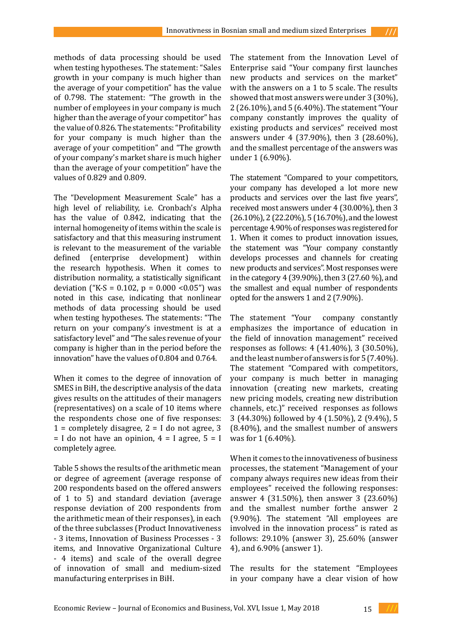methods of data processing should be used when testing hypotheses. The statement: "Sales growth in your company is much higher than the average of your competition" has the value of 0.798. The statement: "The growth in the number of employees in your company is much higher than the average of your competitor" has the value of 0.826. The statements: "Profitability for your company is much higher than the average of your competition" and "The growth of your company's market share is much higher than the average of your competition" have the

values of 0.829 and 0.809.

The "Development Measurement Scale" has a high level of reliability, i.e. Cronbach's Alpha has the value of 0.842, indicating that the internal homogeneity of items within the scale is satisfactory and that this measuring instrument is relevant to the measurement of the variable<br>defined (enterprise development) within (enterprise development) within the research hypothesis. When it comes to distribution normality, a statistically significant deviation ("K-S = 0.102,  $p = 0.000$  <0.05") was noted in this case, indicating that nonlinear methods of data processing should be used when testing hypotheses. The statements: "The return on your company's investment is at a satisfactory level" and "The sales revenue of your company is higher than in the period before the innovation" have the values of 0.804 and 0.764.

When it comes to the degree of innovation of SMES in BiH, the descriptive analysis of the data gives results on the attitudes of their managers (representatives) on a scale of 10 items where the respondents chose one of five responses:  $1 =$  completely disagree,  $2 =$  I do not agree, 3  $=$  I do not have an opinion,  $4 =$  I agree,  $5 =$  I completely agree.

Table 5 shows the results of the arithmetic mean or degree of agreement (average response of 200 respondents based on the offered answers of 1 to 5) and standard deviation (average response deviation of 200 respondents from the arithmetic mean of their responses), in each of the three subclasses (Product Innovativeness - 3 items, Innovation of Business Processes - 3 items, and Innovative Organizational Culture - 4 items) and scale of the overall degree of innovation of small and medium-sized manufacturing enterprises in BiH.

The statement from the Innovation Level of Enterprise said "Your company first launches new products and services on the market" with the answers on a 1 to 5 scale. The results showed that most answers were under 3 (30%), 2 (26.10%), and 5 (6.40%). The statement "Your company constantly improves the quality of existing products and services" received most answers under 4 (37.90%), then 3 (28.60%), and the smallest percentage of the answers was under 1 (6.90%).

The statement "Compared to your competitors, your company has developed a lot more new products and services over the last five years", received most answers under 4 (30.00%), then 3 (26.10%), 2 (22.20%), 5 (16.70%), and the lowest percentage 4.90% of responses was registered for 1. When it comes to product innovation issues, the statement was "Your company constantly develops processes and channels for creating new products and services". Most responses were in the category 4 (39.90%), then 3 (27.60 %), and the smallest and equal number of respondents opted for the answers 1 and 2 (7.90%).

The statement "Your company constantly emphasizes the importance of education in the field of innovation management" received responses as follows: 4 (41.40%), 3 (30.50%), and the least number of answers is for 5 (7.40%). The statement "Compared with competitors, your company is much better in managing innovation (creating new markets, creating new pricing models, creating new distribution channels, etc.)" received responses as follows 3 (44.30%) followed by 4 (1.50%), 2 (9.4%), 5 (8.40%), and the smallest number of answers was for 1 (6.40%).

When it comes to the innovativeness of business processes, the statement "Management of your company always requires new ideas from their employees" received the following responses: answer 4 (31.50%), then answer 3 (23.60%) and the smallest number forthe answer 2 (9.90%). The statement "All employees are involved in the innovation process" is rated as follows: 29.10% (answer 3), 25.60% (answer 4), and 6.90% (answer 1).

The results for the statement "Employees in your company have a clear vision of how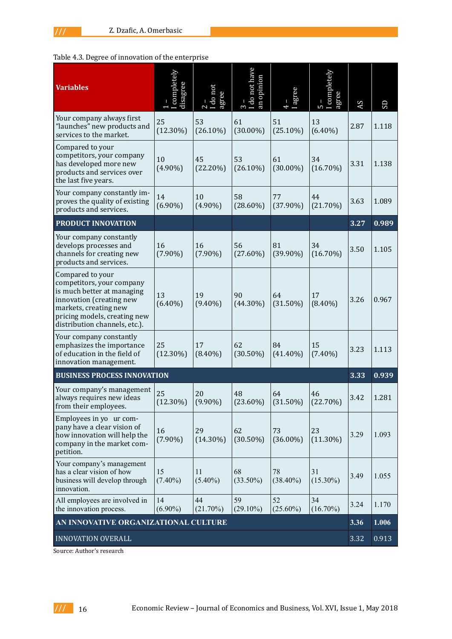# Table 4.3. Degree of innovation of the enterprise

| <b>Variables</b>                                                                                                                                                                                  | completely<br>disagree | do not<br>agree   | $\begin{bmatrix} 3 \\ - \\ 1 \end{bmatrix}$ and have<br>an opinion | agree<br>$\overline{+}$ | completely<br>gree<br>5 | AS   | SD    |
|---------------------------------------------------------------------------------------------------------------------------------------------------------------------------------------------------|------------------------|-------------------|--------------------------------------------------------------------|-------------------------|-------------------------|------|-------|
| Your company always first<br>"launches" new products and<br>services to the market.                                                                                                               | 25<br>$(12.30\%)$      | 53<br>$(26.10\%)$ | 61<br>$(30.00\%)$                                                  | 51<br>$(25.10\%)$       | 13<br>$(6.40\%)$        | 2.87 | 1.118 |
| Compared to your<br>competitors, your company<br>has developed more new<br>products and services over<br>the last five years.                                                                     | 10<br>$(4.90\%)$       | 45<br>$(22.20\%)$ | 53<br>$(26.10\%)$                                                  | 61<br>$(30.00\%)$       | 34<br>$(16.70\%)$       | 3.31 | 1.138 |
| Your company constantly im-<br>proves the quality of existing<br>products and services.                                                                                                           | 14<br>$(6.90\%)$       | 10<br>$(4.90\%)$  | 58<br>$(28.60\%)$                                                  | 77<br>$(37.90\%)$       | 44<br>$(21.70\%)$       | 3.63 | 1.089 |
| PRODUCT INNOVATION                                                                                                                                                                                |                        |                   |                                                                    |                         |                         | 3.27 | 0.989 |
| Your company constantly<br>develops processes and<br>channels for creating new<br>products and services.                                                                                          | 16<br>$(7.90\%)$       | 16<br>$(7.90\%)$  | 56<br>$(27.60\%)$                                                  | 81<br>$(39.90\%)$       | 34<br>$(16.70\%)$       | 3.50 | 1.105 |
| Compared to your<br>competitors, your company<br>is much better at managing<br>innovation (creating new<br>markets, creating new<br>pricing models, creating new<br>distribution channels, etc.). | 13<br>$(6.40\%)$       | 19<br>$(9.40\%)$  | 90<br>$(44.30\%)$                                                  | 64<br>$(31.50\%)$       | 17<br>$(8.40\%)$        | 3.26 | 0.967 |
| Your company constantly<br>emphasizes the importance<br>of education in the field of<br>innovation management.                                                                                    | 25<br>$(12.30\%)$      | 17<br>$(8.40\%)$  | 62<br>$(30.50\%)$                                                  | 84<br>$(41.40\%)$       | 15<br>$(7.40\%)$        | 3.23 | 1.113 |
| <b>BUSINESS PROCESS INNOVATION</b>                                                                                                                                                                |                        |                   |                                                                    |                         |                         | 3.33 | 0.939 |
| Your company's management<br>always requires new ideas<br>from their employees.                                                                                                                   | 25<br>$(12.30\%)$      | 20<br>$(9.90\%)$  | 48<br>$(23.60\%)$                                                  | 64<br>$(31.50\%)$       | 46<br>$(22.70\%)$       | 3.42 | 1.281 |
| Employees in yo ur com-<br>pany have a clear vision of<br>how innovation will help the<br>company in the market com-<br>petition.                                                                 | 16<br>$(7.90\%)$       | 29<br>$(14.30\%)$ | 62<br>$(30.50\%)$                                                  | 73<br>$(36.00\%)$       | 23<br>$(11.30\%)$       | 3.29 | 1.093 |
| Your company's management<br>has a clear vision of how<br>business will develop through<br>innovation.                                                                                            | 15<br>$(7.40\%)$       | 11<br>$(5.40\%)$  | 68<br>$(33.50\%)$                                                  | 78<br>$(38.40\%)$       | 31<br>$(15.30\%)$       | 3.49 | 1.055 |
| All employees are involved in<br>the innovation process.                                                                                                                                          | 14<br>$(6.90\%)$       | 44<br>$(21.70\%)$ | 59<br>$(29.10\%)$                                                  | 52<br>$(25.60\%)$       | 34<br>$(16.70\%)$       | 3.24 | 1.170 |
| AN INNOVATIVE ORGANIZATIONAL CULTURE                                                                                                                                                              |                        |                   |                                                                    |                         |                         |      | 1.006 |
| INNOVATION OVERALL                                                                                                                                                                                |                        |                   |                                                                    |                         |                         |      | 0.913 |

Source: Author's research

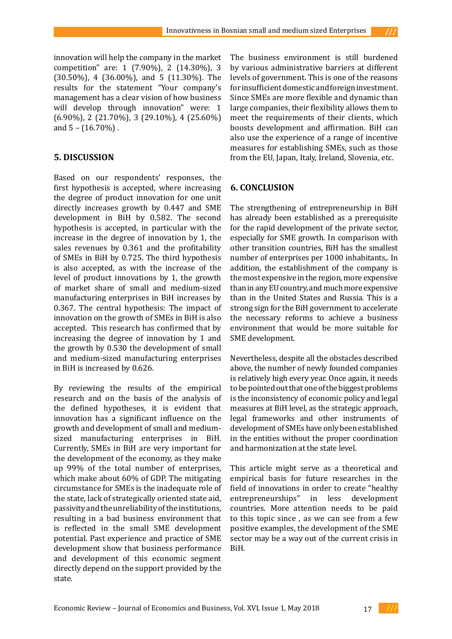innovation will help the company in the market competition" are: 1 (7.90%), 2 (14.30%), 3 (30.50%), 4 (36.00%), and 5 (11.30%). The results for the statement "Your company's management has a clear vision of how business will develop through innovation" were: 1 (6.90%), 2 (21.70%), 3 (29.10%), 4 (25.60%) and  $5 - (16.70\%)$ .

# **5. DISCUSSION**

Based on our respondents' responses, the first hypothesis is accepted, where increasing the degree of product innovation for one unit directly increases growth by 0.447 and SME development in BiH by 0.582. The second hypothesis is accepted, in particular with the increase in the degree of innovation by 1, the sales revenues by 0.361 and the profitability of SMEs in BiH by 0.725. The third hypothesis is also accepted, as with the increase of the level of product innovations by 1, the growth of market share of small and medium-sized manufacturing enterprises in BiH increases by 0.367. The central hypothesis: The impact of innovation on the growth of SMEs in BiH is also accepted. This research has confirmed that by increasing the degree of innovation by 1 and the growth by 0.530 the development of small and medium-sized manufacturing enterprises in BiH is increased by 0.626.

By reviewing the results of the empirical research and on the basis of the analysis of the defined hypotheses, it is evident that innovation has a significant influence on the growth and development of small and mediumsized manufacturing enterprises in BiH. Currently, SMEs in BiH are very important for the development of the economy, as they make up 99% of the total number of enterprises, which make about 60% of GDP. The mitigating circumstance for SMEs is the inadequate role of the state, lack of strategically oriented state aid, passivity and the unreliability of the institutions, resulting in a bad business environment that is reflected in the small SME development potential. Past experience and practice of SME development show that business performance and development of this economic segment directly depend on the support provided by the state.

The business environment is still burdened by various administrative barriers at different levels of government. This is one of the reasons for insufficient domestic and foreign investment. Since SMEs are more flexible and dynamic than large companies, their flexibility allows them to meet the requirements of their clients, which boosts development and affirmation. BiH can also use the experience of a range of incentive measures for establishing SMEs, such as those from the EU, Japan, Italy, Ireland, Slovenia, etc.

## **6. CONCLUSION**

The strengthening of entrepreneurship in BiH has already been established as a prerequisite for the rapid development of the private sector, especially for SME growth. In comparison with other transition countries, BiH has the smallest number of enterprises per 1000 inhabitants,. In addition, the establishment of the company is the most expensive in the region, more expensive than in any EU country, and much more expensive than in the United States and Russia. This is a strong sign for the BiH government to accelerate the necessary reforms to achieve a business environment that would be more suitable for SME development.

Nevertheless, despite all the obstacles described above, the number of newly founded companies is relatively high every year. Once again, it needs to be pointed out that one of the biggest problems is the inconsistency of economic policy and legal measures at BiH level, as the strategic approach, legal frameworks and other instruments of development of SMEs have only been established in the entities without the proper coordination and harmonization at the state level.

This article might serve as a theoretical and empirical basis for future researches in the field of innovations in order to create "healthy<br>entrepreneurships" in less development entrepreneurships" in less development countries. More attention needs to be paid to this topic since , as we can see from a few positive examples, the development of the SME sector may be a way out of the current crisis in BiH.